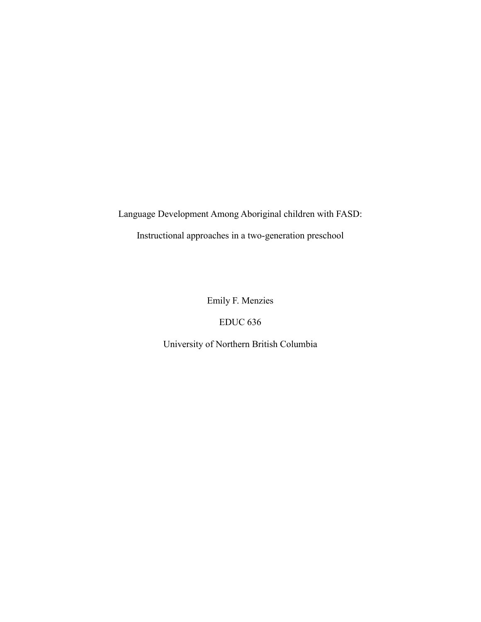Language Development Among Aboriginal children with FASD:

Instructional approaches in a two-generation preschool

Emily F. Menzies

EDUC 636

University of Northern British Columbia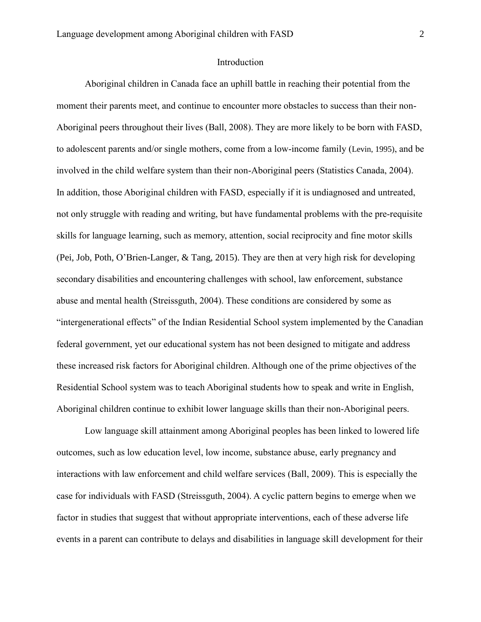# Introduction

Aboriginal children in Canada face an uphill battle in reaching their potential from the moment their parents meet, and continue to encounter more obstacles to success than their non-Aboriginal peers throughout their lives (Ball, 2008). They are more likely to be born with FASD, to adolescent parents and/or single mothers, come from a low-income family (Levin, 1995), and be involved in the child welfare system than their non-Aboriginal peers (Statistics Canada, 2004). In addition, those Aboriginal children with FASD, especially if it is undiagnosed and untreated, not only struggle with reading and writing, but have fundamental problems with the pre-requisite skills for language learning, such as memory, attention, social reciprocity and fine motor skills (Pei, Job, Poth, O'Brien-Langer, & Tang, 2015). They are then at very high risk for developing secondary disabilities and encountering challenges with school, law enforcement, substance abuse and mental health (Streissguth, 2004). These conditions are considered by some as "intergenerational effects" of the Indian Residential School system implemented by the Canadian federal government, yet our educational system has not been designed to mitigate and address these increased risk factors for Aboriginal children. Although one of the prime objectives of the Residential School system was to teach Aboriginal students how to speak and write in English, Aboriginal children continue to exhibit lower language skills than their non-Aboriginal peers.

Low language skill attainment among Aboriginal peoples has been linked to lowered life outcomes, such as low education level, low income, substance abuse, early pregnancy and interactions with law enforcement and child welfare services (Ball, 2009). This is especially the case for individuals with FASD (Streissguth, 2004). A cyclic pattern begins to emerge when we factor in studies that suggest that without appropriate interventions, each of these adverse life events in a parent can contribute to delays and disabilities in language skill development for their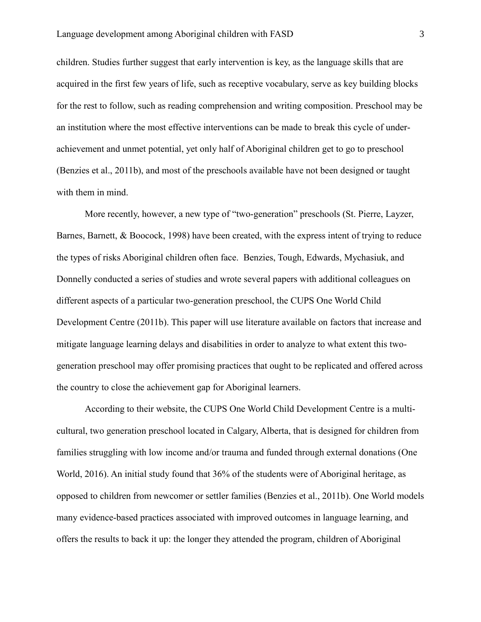children. Studies further suggest that early intervention is key, as the language skills that are acquired in the first few years of life, such as receptive vocabulary, serve as key building blocks for the rest to follow, such as reading comprehension and writing composition. Preschool may be an institution where the most effective interventions can be made to break this cycle of underachievement and unmet potential, yet only half of Aboriginal children get to go to preschool (Benzies et al., 2011b), and most of the preschools available have not been designed or taught with them in mind.

More recently, however, a new type of "two-generation" preschools (St. Pierre, Layzer, Barnes, Barnett, & Boocock, 1998) have been created, with the express intent of trying to reduce the types of risks Aboriginal children often face. Benzies, Tough, Edwards, Mychasiuk, and Donnelly conducted a series of studies and wrote several papers with additional colleagues on different aspects of a particular two-generation preschool, the CUPS One World Child Development Centre (2011b). This paper will use literature available on factors that increase and mitigate language learning delays and disabilities in order to analyze to what extent this twogeneration preschool may offer promising practices that ought to be replicated and offered across the country to close the achievement gap for Aboriginal learners.

According to their website, the CUPS One World Child Development Centre is a multicultural, two generation preschool located in Calgary, Alberta, that is designed for children from families struggling with low income and/or trauma and funded through external donations (One World, 2016). An initial study found that 36% of the students were of Aboriginal heritage, as opposed to children from newcomer or settler families (Benzies et al., 2011b). One World models many evidence-based practices associated with improved outcomes in language learning, and offers the results to back it up: the longer they attended the program, children of Aboriginal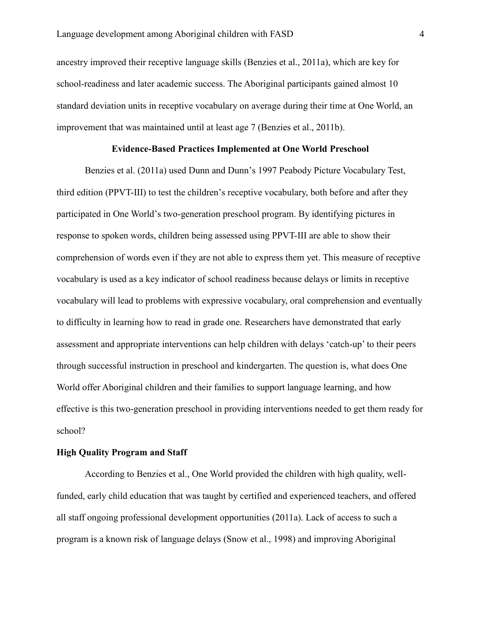ancestry improved their receptive language skills (Benzies et al., 2011a), which are key for school-readiness and later academic success. The Aboriginal participants gained almost 10 standard deviation units in receptive vocabulary on average during their time at One World, an improvement that was maintained until at least age 7 (Benzies et al., 2011b).

### **Evidence-Based Practices Implemented at One World Preschool**

Benzies et al. (2011a) used Dunn and Dunn's 1997 Peabody Picture Vocabulary Test, third edition (PPVT-III) to test the children's receptive vocabulary, both before and after they participated in One World's two-generation preschool program. By identifying pictures in response to spoken words, children being assessed using PPVT-III are able to show their comprehension of words even if they are not able to express them yet. This measure of receptive vocabulary is used as a key indicator of school readiness because delays or limits in receptive vocabulary will lead to problems with expressive vocabulary, oral comprehension and eventually to difficulty in learning how to read in grade one. Researchers have demonstrated that early assessment and appropriate interventions can help children with delays 'catch-up' to their peers through successful instruction in preschool and kindergarten. The question is, what does One World offer Aboriginal children and their families to support language learning, and how effective is this two-generation preschool in providing interventions needed to get them ready for school?

### **High Quality Program and Staff**

According to Benzies et al., One World provided the children with high quality, wellfunded, early child education that was taught by certified and experienced teachers, and offered all staff ongoing professional development opportunities (2011a). Lack of access to such a program is a known risk of language delays (Snow et al., 1998) and improving Aboriginal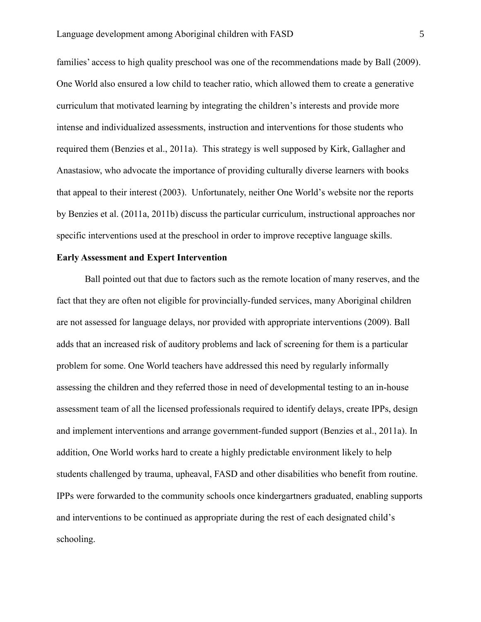families' access to high quality preschool was one of the recommendations made by Ball (2009). One World also ensured a low child to teacher ratio, which allowed them to create a generative curriculum that motivated learning by integrating the children's interests and provide more intense and individualized assessments, instruction and interventions for those students who required them (Benzies et al., 2011a). This strategy is well supposed by Kirk, Gallagher and Anastasiow, who advocate the importance of providing culturally diverse learners with books that appeal to their interest (2003). Unfortunately, neither One World's website nor the reports by Benzies et al. (2011a, 2011b) discuss the particular curriculum, instructional approaches nor specific interventions used at the preschool in order to improve receptive language skills.

## **Early Assessment and Expert Intervention**

Ball pointed out that due to factors such as the remote location of many reserves, and the fact that they are often not eligible for provincially-funded services, many Aboriginal children are not assessed for language delays, nor provided with appropriate interventions (2009). Ball adds that an increased risk of auditory problems and lack of screening for them is a particular problem for some. One World teachers have addressed this need by regularly informally assessing the children and they referred those in need of developmental testing to an in-house assessment team of all the licensed professionals required to identify delays, create IPPs, design and implement interventions and arrange government-funded support (Benzies et al., 2011a). In addition, One World works hard to create a highly predictable environment likely to help students challenged by trauma, upheaval, FASD and other disabilities who benefit from routine. IPPs were forwarded to the community schools once kindergartners graduated, enabling supports and interventions to be continued as appropriate during the rest of each designated child's schooling.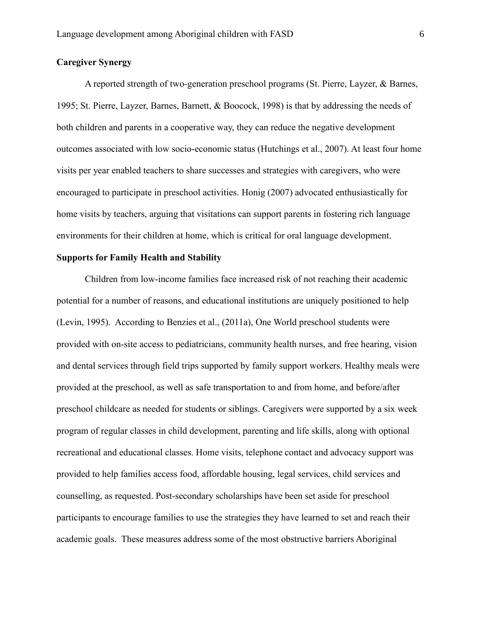# **Caregiver Synergy**

A reported strength of two-generation preschool programs (St. Pierre, Layzer, & Barnes, 1995; St. Pierre, Layzer, Barnes, Barnett, & Boocock, 1998) is that by addressing the needs of both children and parents in a cooperative way, they can reduce the negative development outcomes associated with low socio-economic status (Hutchings et al., 2007). At least four home visits per year enabled teachers to share successes and strategies with caregivers, who were encouraged to participate in preschool activities. Honig (2007) advocated enthusiastically for home visits by teachers, arguing that visitations can support parents in fostering rich language environments for their children at home, which is critical for oral language development.

## **Supports for Family Health and Stability**

Children from low-income families face increased risk of not reaching their academic potential for a number of reasons, and educational institutions are uniquely positioned to help (Levin, 1995). According to Benzies et al., (2011a), One World preschool students were provided with on-site access to pediatricians, community health nurses, and free hearing, vision and dental services through field trips supported by family support workers. Healthy meals were provided at the preschool, as well as safe transportation to and from home, and before/after preschool childcare as needed for students or siblings. Caregivers were supported by a six week program of regular classes in child development, parenting and life skills, along with optional recreational and educational classes. Home visits, telephone contact and advocacy support was provided to help families access food, affordable housing, legal services, child services and counselling, as requested. Post-secondary scholarships have been set aside for preschool participants to encourage families to use the strategies they have learned to set and reach their academic goals. These measures address some of the most obstructive barriers Aboriginal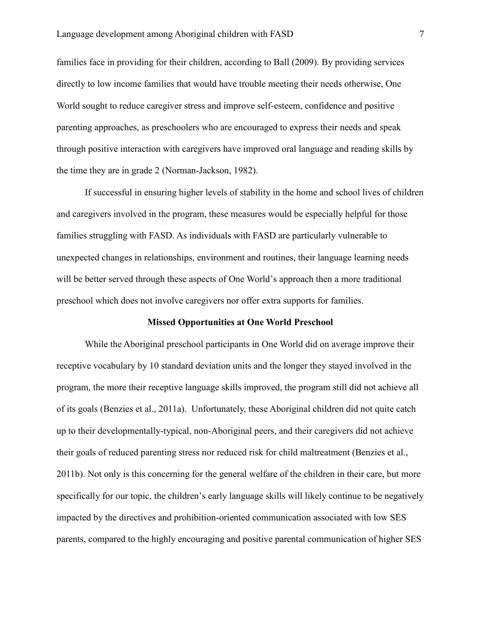families face in providing for their children, according to Ball (2009). By providing services directly to low income families that would have trouble meeting their needs otherwise, One World sought to reduce caregiver stress and improve self-esteem, confidence and positive parenting approaches, as preschoolers who are encouraged to express their needs and speak through positive interaction with caregivers have improved oral language and reading skills by the time they are in grade 2 (Norman-Jackson, 1982).

If successful in ensuring higher levels of stability in the home and school lives of children and caregivers involved in the program, these measures would be especially helpful for those families struggling with FASD. As individuals with FASD are particularly vulnerable to unexpected changes in relationships, environment and routines, their language learning needs will be better served through these aspects of One World's approach then a more traditional preschool which does not involve caregivers nor offer extra supports for families.

#### **Missed Opportunities at One World Preschool**

While the Aboriginal preschool participants in One World did on average improve their receptive vocabulary by 10 standard deviation units and the longer they stayed involved in the program, the more their receptive language skills improved, the program still did not achieve all of its goals (Benzies et al., 2011a). Unfortunately, these Aboriginal children did not quite catch up to their developmentally-typical, non-Aboriginal peers, and their caregivers did not achieve their goals of reduced parenting stress nor reduced risk for child maltreatment (Benzies et al., 2011b). Not only is this concerning for the general welfare of the children in their care, but more specifically for our topic, the children's early language skills will likely continue to be negatively impacted by the directives and prohibition-oriented communication associated with low SES parents, compared to the highly encouraging and positive parental communication of higher SES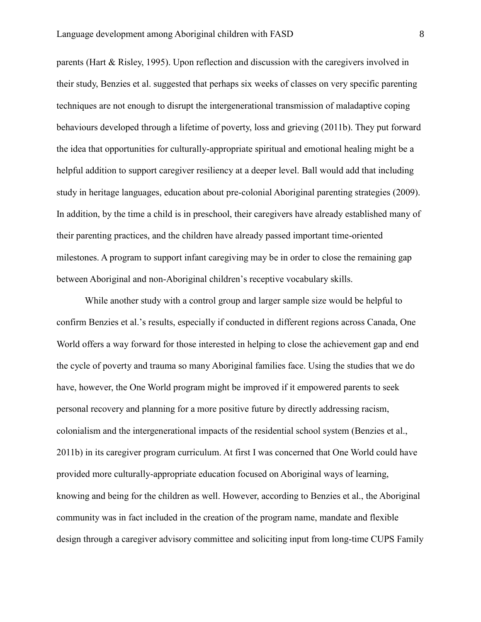parents (Hart & Risley, 1995). Upon reflection and discussion with the caregivers involved in their study, Benzies et al. suggested that perhaps six weeks of classes on very specific parenting techniques are not enough to disrupt the intergenerational transmission of maladaptive coping behaviours developed through a lifetime of poverty, loss and grieving (2011b). They put forward the idea that opportunities for culturally-appropriate spiritual and emotional healing might be a helpful addition to support caregiver resiliency at a deeper level. Ball would add that including study in heritage languages, education about pre-colonial Aboriginal parenting strategies (2009). In addition, by the time a child is in preschool, their caregivers have already established many of their parenting practices, and the children have already passed important time-oriented milestones. A program to support infant caregiving may be in order to close the remaining gap between Aboriginal and non-Aboriginal children's receptive vocabulary skills.

While another study with a control group and larger sample size would be helpful to confirm Benzies et al.'s results, especially if conducted in different regions across Canada, One World offers a way forward for those interested in helping to close the achievement gap and end the cycle of poverty and trauma so many Aboriginal families face. Using the studies that we do have, however, the One World program might be improved if it empowered parents to seek personal recovery and planning for a more positive future by directly addressing racism, colonialism and the intergenerational impacts of the residential school system (Benzies et al., 2011b) in its caregiver program curriculum. At first I was concerned that One World could have provided more culturally-appropriate education focused on Aboriginal ways of learning, knowing and being for the children as well. However, according to Benzies et al., the Aboriginal community was in fact included in the creation of the program name, mandate and flexible design through a caregiver advisory committee and soliciting input from long-time CUPS Family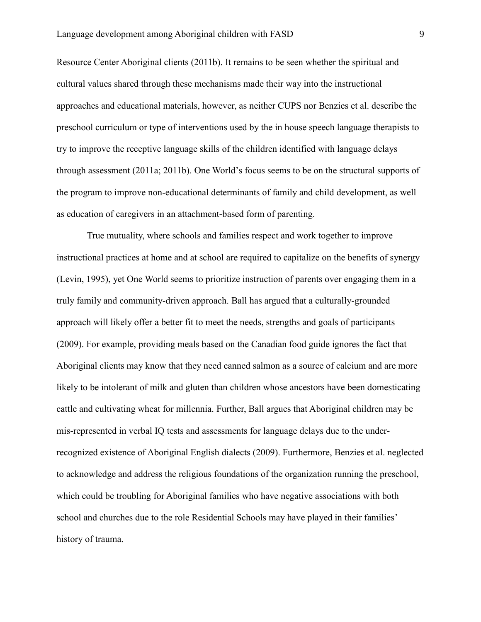Resource Center Aboriginal clients (2011b). It remains to be seen whether the spiritual and cultural values shared through these mechanisms made their way into the instructional approaches and educational materials, however, as neither CUPS nor Benzies et al. describe the preschool curriculum or type of interventions used by the in house speech language therapists to try to improve the receptive language skills of the children identified with language delays through assessment (2011a; 2011b). One World's focus seems to be on the structural supports of the program to improve non-educational determinants of family and child development, as well as education of caregivers in an attachment-based form of parenting.

True mutuality, where schools and families respect and work together to improve instructional practices at home and at school are required to capitalize on the benefits of synergy (Levin, 1995), yet One World seems to prioritize instruction of parents over engaging them in a truly family and community-driven approach. Ball has argued that a culturally-grounded approach will likely offer a better fit to meet the needs, strengths and goals of participants (2009). For example, providing meals based on the Canadian food guide ignores the fact that Aboriginal clients may know that they need canned salmon as a source of calcium and are more likely to be intolerant of milk and gluten than children whose ancestors have been domesticating cattle and cultivating wheat for millennia. Further, Ball argues that Aboriginal children may be mis-represented in verbal IQ tests and assessments for language delays due to the underrecognized existence of Aboriginal English dialects (2009). Furthermore, Benzies et al. neglected to acknowledge and address the religious foundations of the organization running the preschool, which could be troubling for Aboriginal families who have negative associations with both school and churches due to the role Residential Schools may have played in their families' history of trauma.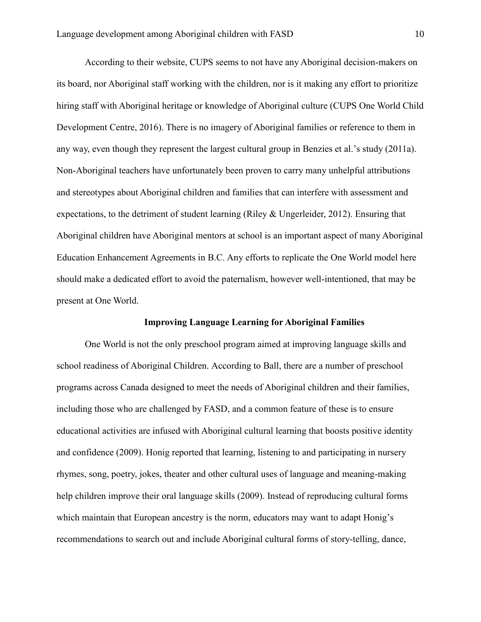According to their website, CUPS seems to not have any Aboriginal decision-makers on its board, nor Aboriginal staff working with the children, nor is it making any effort to prioritize hiring staff with Aboriginal heritage or knowledge of Aboriginal culture (CUPS One World Child Development Centre, 2016). There is no imagery of Aboriginal families or reference to them in any way, even though they represent the largest cultural group in Benzies et al.'s study (2011a). Non-Aboriginal teachers have unfortunately been proven to carry many unhelpful attributions and stereotypes about Aboriginal children and families that can interfere with assessment and expectations, to the detriment of student learning (Riley & Ungerleider, 2012). Ensuring that Aboriginal children have Aboriginal mentors at school is an important aspect of many Aboriginal Education Enhancement Agreements in B.C. Any efforts to replicate the One World model here should make a dedicated effort to avoid the paternalism, however well-intentioned, that may be present at One World.

# **Improving Language Learning for Aboriginal Families**

One World is not the only preschool program aimed at improving language skills and school readiness of Aboriginal Children. According to Ball, there are a number of preschool programs across Canada designed to meet the needs of Aboriginal children and their families, including those who are challenged by FASD, and a common feature of these is to ensure educational activities are infused with Aboriginal cultural learning that boosts positive identity and confidence (2009). Honig reported that learning, listening to and participating in nursery rhymes, song, poetry, jokes, theater and other cultural uses of language and meaning-making help children improve their oral language skills (2009). Instead of reproducing cultural forms which maintain that European ancestry is the norm, educators may want to adapt Honig's recommendations to search out and include Aboriginal cultural forms of story-telling, dance,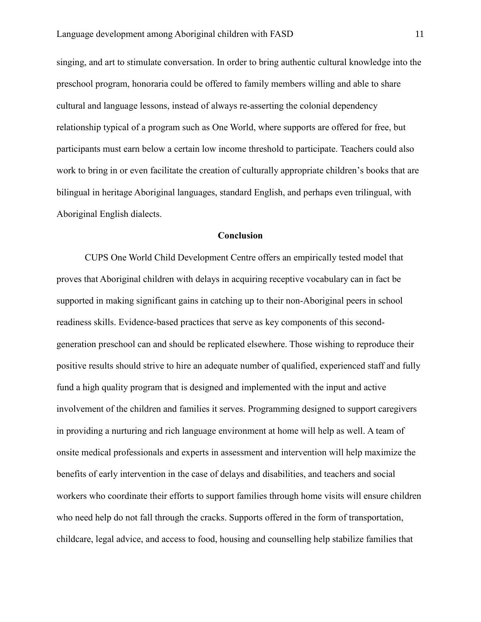singing, and art to stimulate conversation. In order to bring authentic cultural knowledge into the preschool program, honoraria could be offered to family members willing and able to share cultural and language lessons, instead of always re-asserting the colonial dependency relationship typical of a program such as One World, where supports are offered for free, but participants must earn below a certain low income threshold to participate. Teachers could also work to bring in or even facilitate the creation of culturally appropriate children's books that are bilingual in heritage Aboriginal languages, standard English, and perhaps even trilingual, with Aboriginal English dialects.

#### **Conclusion**

CUPS One World Child Development Centre offers an empirically tested model that proves that Aboriginal children with delays in acquiring receptive vocabulary can in fact be supported in making significant gains in catching up to their non-Aboriginal peers in school readiness skills. Evidence-based practices that serve as key components of this secondgeneration preschool can and should be replicated elsewhere. Those wishing to reproduce their positive results should strive to hire an adequate number of qualified, experienced staff and fully fund a high quality program that is designed and implemented with the input and active involvement of the children and families it serves. Programming designed to support caregivers in providing a nurturing and rich language environment at home will help as well. A team of onsite medical professionals and experts in assessment and intervention will help maximize the benefits of early intervention in the case of delays and disabilities, and teachers and social workers who coordinate their efforts to support families through home visits will ensure children who need help do not fall through the cracks. Supports offered in the form of transportation, childcare, legal advice, and access to food, housing and counselling help stabilize families that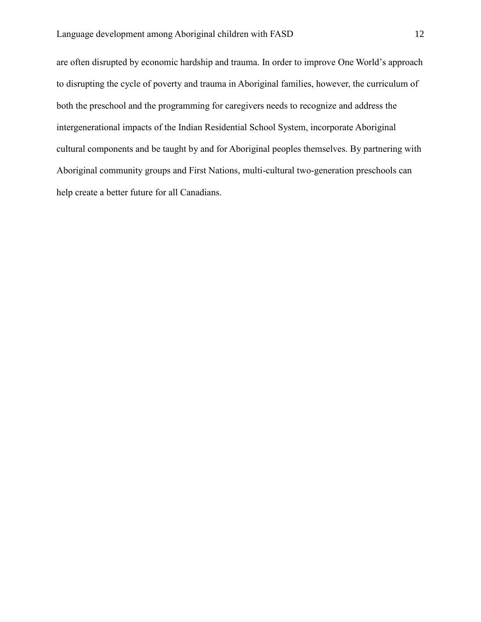are often disrupted by economic hardship and trauma. In order to improve One World's approach to disrupting the cycle of poverty and trauma in Aboriginal families, however, the curriculum of both the preschool and the programming for caregivers needs to recognize and address the intergenerational impacts of the Indian Residential School System, incorporate Aboriginal cultural components and be taught by and for Aboriginal peoples themselves. By partnering with Aboriginal community groups and First Nations, multi-cultural two-generation preschools can help create a better future for all Canadians.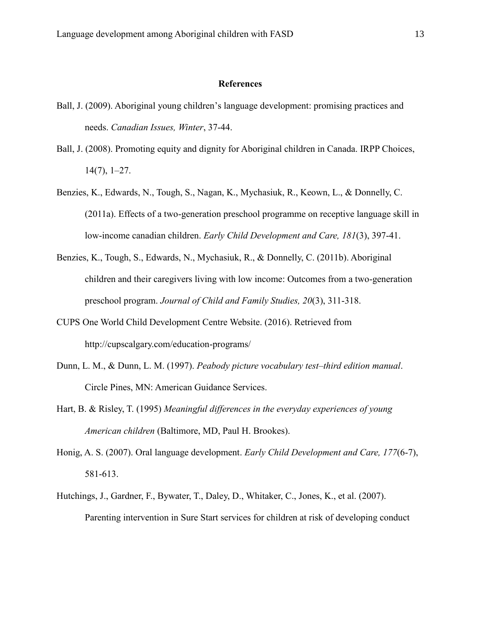# **References**

- Ball, J. (2009). Aboriginal young children's language development: promising practices and needs. *Canadian Issues, Winter*, 37-44.
- Ball, J. (2008). Promoting equity and dignity for Aboriginal children in Canada. IRPP Choices, 14(7), 1–27.
- Benzies, K., Edwards, N., Tough, S., Nagan, K., Mychasiuk, R., Keown, L., & Donnelly, C. (2011a). Effects of a two-generation preschool programme on receptive language skill in low-income canadian children. *Early Child Development and Care, 181*(3), 397-41.
- Benzies, K., Tough, S., Edwards, N., Mychasiuk, R., & Donnelly, C. (2011b). Aboriginal children and their caregivers living with low income: Outcomes from a two-generation preschool program. *Journal of Child and Family Studies, 20*(3), 311-318.
- CUPS One World Child Development Centre Website. (2016). Retrieved from http://cupscalgary.com/education-programs/
- Dunn, L. M., & Dunn, L. M. (1997). *Peabody picture vocabulary test–third edition manual*. Circle Pines, MN: American Guidance Services.
- Hart, B. & Risley, T. (1995) *Meaningful differences in the everyday experiences of young American children* (Baltimore, MD, Paul H. Brookes).
- Honig, A. S. (2007). Oral language development. *Early Child Development and Care, 177*(6-7), 581-613.
- Hutchings, J., Gardner, F., Bywater, T., Daley, D., Whitaker, C., Jones, K., et al. (2007). Parenting intervention in Sure Start services for children at risk of developing conduct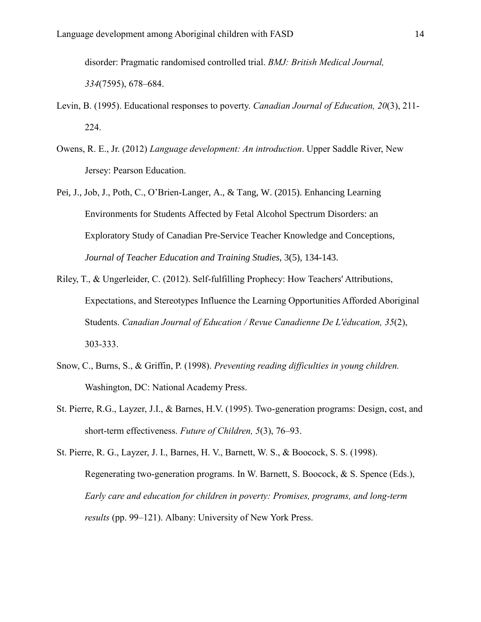disorder: Pragmatic randomised controlled trial. *BMJ: British Medical Journal, 334*(7595), 678–684.

- Levin, B. (1995). Educational responses to poverty. *Canadian Journal of Education, 20*(3), 211- 224.
- Owens, R. E., Jr. (2012) *Language development: An introduction*. Upper Saddle River, New Jersey: Pearson Education.
- Pei, J., Job, J., Poth, C., O'Brien-Langer, A., & Tang, W. (2015). Enhancing Learning Environments for Students Affected by Fetal Alcohol Spectrum Disorders: an Exploratory Study of Canadian Pre-Service Teacher Knowledge and Conceptions, *Journal of Teacher Education and Training Studies*, 3(5), 134-143.
- Riley, T., & Ungerleider, C. (2012). Self-fulfilling Prophecy: How Teachers' Attributions, Expectations, and Stereotypes Influence the Learning Opportunities Afforded Aboriginal Students. *Canadian Journal of Education / Revue Canadienne De L'éducation, 35*(2), 303-333.
- Snow, C., Burns, S., & Griffin, P. (1998). *Preventing reading difficulties in young children.* Washington, DC: National Academy Press.
- St. Pierre, R.G., Layzer, J.I., & Barnes, H.V. (1995). Two-generation programs: Design, cost, and short-term effectiveness. *Future of Children, 5*(3), 76–93.

St. Pierre, R. G., Layzer, J. I., Barnes, H. V., Barnett, W. S., & Boocock, S. S. (1998). Regenerating two-generation programs. In W. Barnett, S. Boocock, & S. Spence (Eds.), *Early care and education for children in poverty: Promises, programs, and long-term results* (pp. 99–121). Albany: University of New York Press.